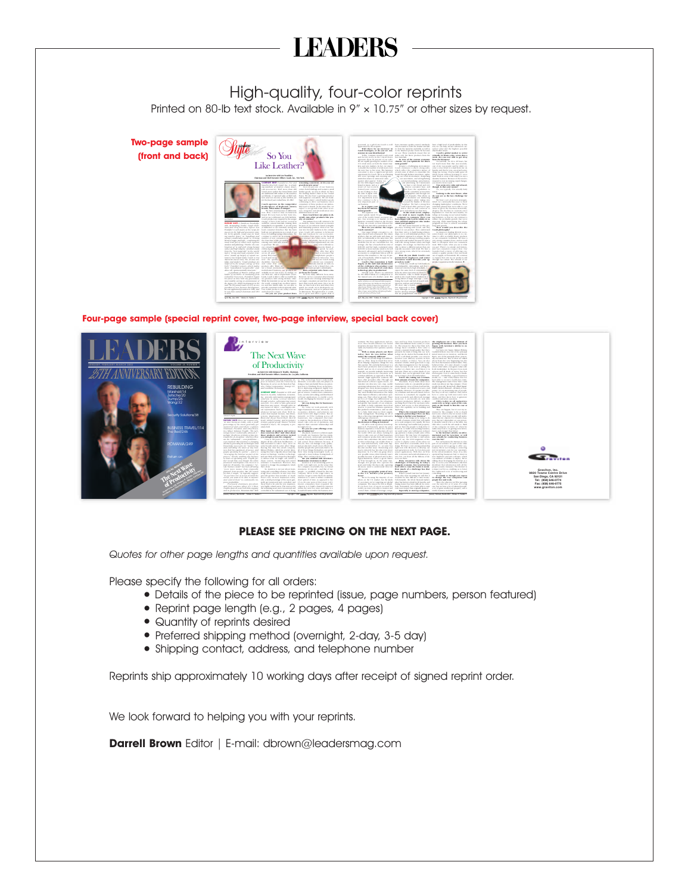# **LEADERS**

### High-quality, four-color reprints

Printed on 80-lb text stock. Available in 9" x 10.75" or other sizes by request.

**Two-page sample (front and back)**



**Four-page sample (special reprint cover, two-page interview, special back cover)**



#### **PLEASE SEE PRICING ON THE NEXT PAGE.**

*Quotes for other page lengths and quantities available upon request.*

Please specify the following for all orders:

- **•** Details of the piece to be reprinted (issue, page numbers, person featured)
- **•** Reprint page length (e.g., 2 pages, 4 pages)
- **•** Quantity of reprints desired
- **•** Preferred shipping method (overnight, 2-day, 3-5 day)
- **•** Shipping contact, address, and telephone number

Reprints ship approximately 10 working days after receipt of signed reprint order.

We look forward to helping you with your reprints.

**Darrell Brown** Editor | E-mail: dbrown@leadersmag.com